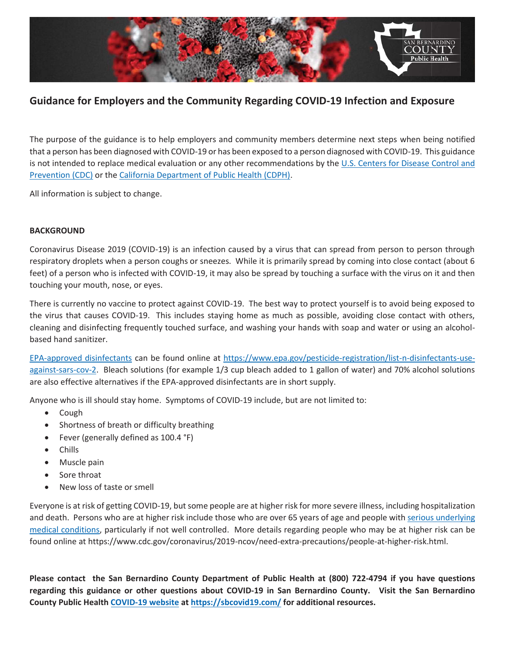

#### **Guidance for Employers and the Community Regarding COVID-19 Infection and Exposure**

The purpose of the guidance is to help employers and community members determine next steps when being notified that a person has been diagnosed with COVID-19 or has been exposed to a person diagnosed with COVID-19. This guidance is not intended to replace medical evaluation or any other recommendations by the U.S. Centers for Disease Control and Prevention (CDC) or the California Department of Public Health (CDPH).

All information is subject to change.

#### **BACKGROUND**

Coronavirus Disease 2019 (COVID-19) is an infection caused by a virus that can spread from person to person through respiratory droplets when a person coughs or sneezes. While it is primarily spread by coming into close contact (about 6 feet) of a person who is infected with COVID-19, it may also be spread by touching a surface with the virus on it and then touching your mouth, nose, or eyes.

There is currently no vaccine to protect against COVID-19. The best way to protect yourself is to avoid being exposed to the virus that causes COVID-19. This includes staying home as much as possible, avoiding close contact with others, cleaning and disinfecting frequently touched surface, and washing your hands with soap and water or using an alcoholbased hand sanitizer.

EPA-approved disinfectants can be found online at https://www.epa.gov/pesticide-registration/list-n-disinfectants-useagainst-sars-cov-2. Bleach solutions (for example 1/3 cup bleach added to 1 gallon of water) and 70% alcohol solutions are also effective alternatives if the EPA-approved disinfectants are in short supply.

Anyone who is ill should stay home. Symptoms of COVID-19 include, but are not limited to:

- Cough
- Shortness of breath or difficulty breathing
- Fever (generally defined as 100.4 °F)
- **Chills**
- Muscle pain
- Sore throat
- New loss of taste or smell

Everyone is at risk of getting COVID-19, but some people are at higher risk for more severe illness, including hospitalization and death. Persons who are at higher risk include those who are over 65 years of age and people with serious underlying medical conditions, particularly if not well controlled. More details regarding people who may be at higher risk can be found online at https://www.cdc.gov/coronavirus/2019-ncov/need-extra-precautions/people-at-higher-risk.html.

**Please contact the San Bernardino County Department of Public Health at (800) 722-4794 if you have questions** regarding this guidance or other questions about COVID-19 in San Bernardino County. Visit the San Bernardino **County Public Health COVID-19 website at https://sbcovid19.com/ for additional resources.**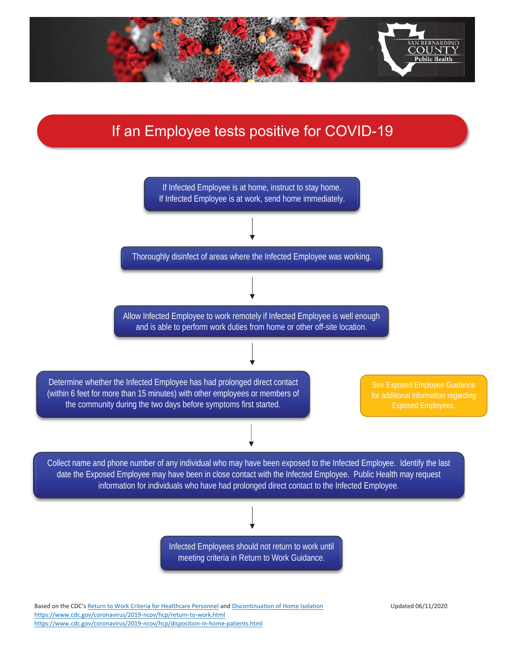

## If an Employee tests positive for COVID-19



https://www.cdc.gov/coronavirus/2019-ncov/hcp/return-to-work.html https://www.cdc.gov/coronavirus/2019-ncov/hcp/disposition-in-home-patients.html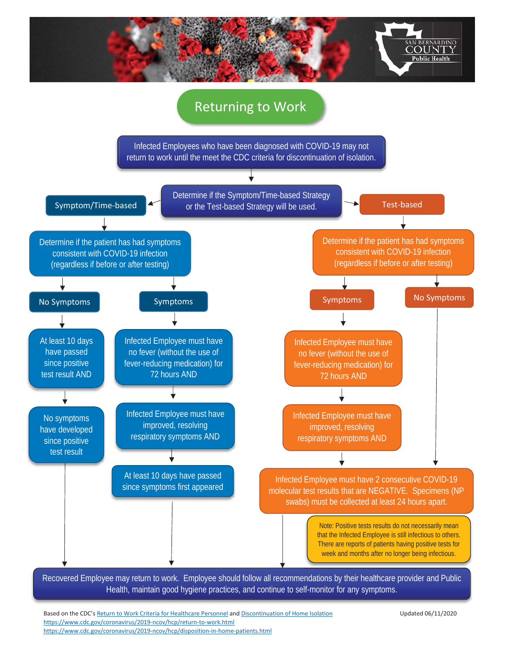

### Returning to Work

Infected Employees who have been diagnosed with COVID-19 may not return to work until the meet the CDC criteria for discontinuation of isolation.



Recovered Employee may return to work. Employee should follow all recommendations by their healthcare provider and Public Health, maintain good hygiene practices, and continue to self-monitor for any symptoms.